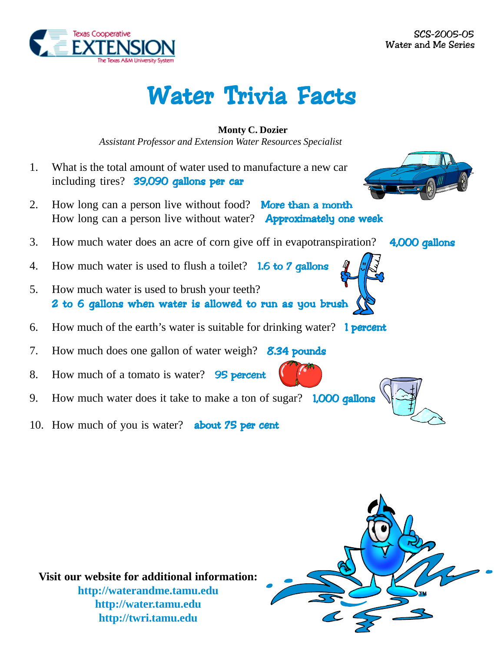

## Water Trivia Facts

## **Monty C. Dozier**

*Assistant Professor and Extension Water Resources Specialist*

- 1. What is the total amount of water used to manufacture a new car including tires?  $39,090$  gallons per car
- 2. How long can a person live without food? More than a month How long can a person live without water? **Approximately one week**
- 3. How much water does an acre of corn give off in evapotranspiration? 4,000 gallons
- 4. How much water is used to flush a toilet? **1.6 to 7 gallons**
- 5. How much water is used to brush your teeth? 2 to 6 gallons when water is allowed to run as you brush
- 6. How much of the earth's water is suitable for drinking water? **1 percent**
- 7. How much does one gallon of water weigh? **8.34 pounds**
- 8. How much of a tomato is water? **95 percent**
- 9. How much water does it take to make a ton of sugar? 1,000 gallons
- 10. How much of you is water? **about 75 per cent**







**Visit our website for additional information: http://waterandme.tamu.edu http://water.tamu.edu http://twri.tamu.edu**